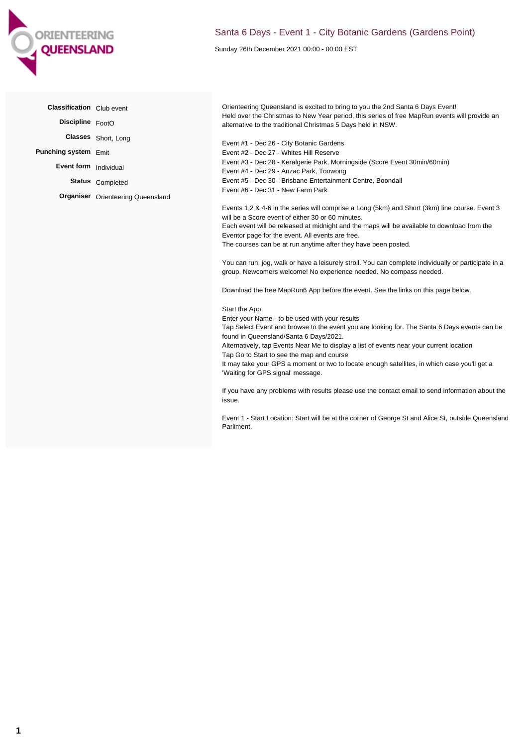

## Santa 6 Days - Event 1 - City Botanic Gardens (Gardens Point)

Sunday 26th December 2021 00:00 - 00:00 EST

| <b>Classification</b> Club event |                                          | Orienteering Queensland is excited to bring to you the 2nd Santa 6 Days Event!                                                                                                                                                                                                                                                                                                                                                                                                                                                                                                                                                                                                                               |
|----------------------------------|------------------------------------------|--------------------------------------------------------------------------------------------------------------------------------------------------------------------------------------------------------------------------------------------------------------------------------------------------------------------------------------------------------------------------------------------------------------------------------------------------------------------------------------------------------------------------------------------------------------------------------------------------------------------------------------------------------------------------------------------------------------|
| Discipline FootO                 |                                          | Held over the Christmas to New Year period, this series of free MapRun events will provide an<br>alternative to the traditional Christmas 5 Days held in NSW.                                                                                                                                                                                                                                                                                                                                                                                                                                                                                                                                                |
|                                  | Classes Short, Long                      |                                                                                                                                                                                                                                                                                                                                                                                                                                                                                                                                                                                                                                                                                                              |
| Punching system Emit             |                                          | Event #1 - Dec 26 - City Botanic Gardens<br>Event #2 - Dec 27 - Whites Hill Reserve                                                                                                                                                                                                                                                                                                                                                                                                                                                                                                                                                                                                                          |
| Event form Individual            |                                          | Event #3 - Dec 28 - Keralgerie Park, Morningside (Score Event 30min/60min)<br>Event #4 - Dec 29 - Anzac Park, Toowong                                                                                                                                                                                                                                                                                                                                                                                                                                                                                                                                                                                        |
|                                  | Status Completed                         | Event #5 - Dec 30 - Brisbane Entertainment Centre, Boondall                                                                                                                                                                                                                                                                                                                                                                                                                                                                                                                                                                                                                                                  |
|                                  | <b>Organiser</b> Orienteering Queensland | Event #6 - Dec 31 - New Farm Park                                                                                                                                                                                                                                                                                                                                                                                                                                                                                                                                                                                                                                                                            |
|                                  |                                          | Events 1,2 & 4-6 in the series will comprise a Long (5km) and Short (3km) line course. Event 3<br>will be a Score event of either 30 or 60 minutes.<br>Each event will be released at midnight and the maps will be available to download from the<br>Eventor page for the event. All events are free.<br>The courses can be at run anytime after they have been posted.<br>You can run, jog, walk or have a leisurely stroll. You can complete individually or participate in a                                                                                                                                                                                                                             |
|                                  |                                          | group. Newcomers welcome! No experience needed. No compass needed.<br>Download the free MapRun6 App before the event. See the links on this page below.                                                                                                                                                                                                                                                                                                                                                                                                                                                                                                                                                      |
|                                  |                                          | Start the App<br>Enter your Name - to be used with your results<br>Tap Select Event and browse to the event you are looking for. The Santa 6 Days events can be<br>found in Queensland/Santa 6 Days/2021.<br>Alternatively, tap Events Near Me to display a list of events near your current location<br>Tap Go to Start to see the map and course<br>It may take your GPS a moment or two to locate enough satellites, in which case you'll get a<br>'Waiting for GPS signal' message.<br>If you have any problems with results please use the contact email to send information about the<br>issue.<br>Event 1 - Start Location: Start will be at the corner of George St and Alice St, outside Queensland |

Parliment.